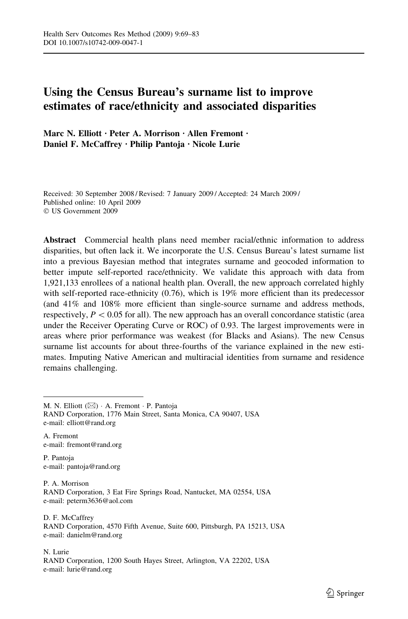# Using the Census Bureau's surname list to improve estimates of race/ethnicity and associated disparities

Marc N. Elliott · Peter A. Morrison · Allen Fremont · Daniel F. McCaffrey · Philip Pantoja · Nicole Lurie

Received: 30 September 2008 / Revised: 7 January 2009 / Accepted: 24 March 2009 / Published online: 10 April 2009 US Government 2009

Abstract Commercial health plans need member racial/ethnic information to address disparities, but often lack it. We incorporate the U.S. Census Bureau's latest surname list into a previous Bayesian method that integrates surname and geocoded information to better impute self-reported race/ethnicity. We validate this approach with data from 1,921,133 enrollees of a national health plan. Overall, the new approach correlated highly with self-reported race-ethnicity (0.76), which is 19% more efficient than its predecessor (and 41% and 108% more efficient than single-source surname and address methods, respectively,  $P \le 0.05$  for all). The new approach has an overall concordance statistic (area under the Receiver Operating Curve or ROC) of 0.93. The largest improvements were in areas where prior performance was weakest (for Blacks and Asians). The new Census surname list accounts for about three-fourths of the variance explained in the new estimates. Imputing Native American and multiracial identities from surname and residence remains challenging.

A. Fremont e-mail: fremont@rand.org

P. Pantoja e-mail: pantoja@rand.org

P. A. Morrison RAND Corporation, 3 Eat Fire Springs Road, Nantucket, MA 02554, USA e-mail: peterm3636@aol.com

D. F. McCaffrey RAND Corporation, 4570 Fifth Avenue, Suite 600, Pittsburgh, PA 15213, USA e-mail: danielm@rand.org

N. Lurie RAND Corporation, 1200 South Hayes Street, Arlington, VA 22202, USA e-mail: lurie@rand.org

M. N. Elliott  $(\boxtimes)$  · A. Fremont · P. Pantoja

RAND Corporation, 1776 Main Street, Santa Monica, CA 90407, USA e-mail: elliott@rand.org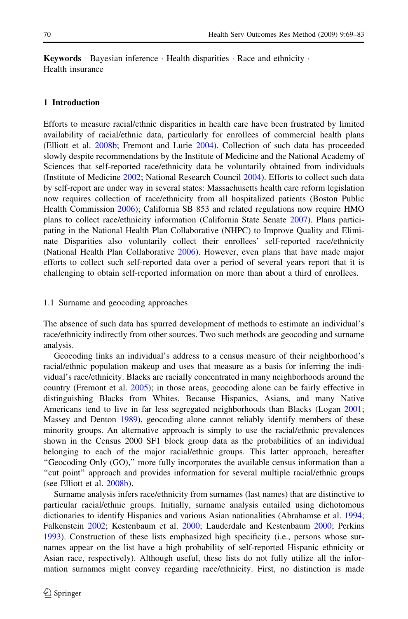Keywords Bayesian inference · Health disparities · Race and ethnicity · Health insurance

# 1 Introduction

Efforts to measure racial/ethnic disparities in health care have been frustrated by limited availability of racial/ethnic data, particularly for enrollees of commercial health plans (Elliott et al. [2008b;](#page-13-0) Fremont and Lurie [2004](#page-13-0)). Collection of such data has proceeded slowly despite recommendations by the Institute of Medicine and the National Academy of Sciences that self-reported race/ethnicity data be voluntarily obtained from individuals (Institute of Medicine [2002;](#page-14-0) National Research Council [2004](#page-14-0)). Efforts to collect such data by self-report are under way in several states: Massachusetts health care reform legislation now requires collection of race/ethnicity from all hospitalized patients (Boston Public Health Commission [2006\)](#page-13-0); California SB 853 and related regulations now require HMO plans to collect race/ethnicity information (California State Senate [2007](#page-13-0)). Plans participating in the National Health Plan Collaborative (NHPC) to Improve Quality and Eliminate Disparities also voluntarily collect their enrollees' self-reported race/ethnicity (National Health Plan Collaborative [2006\)](#page-14-0). However, even plans that have made major efforts to collect such self-reported data over a period of several years report that it is challenging to obtain self-reported information on more than about a third of enrollees.

#### 1.1 Surname and geocoding approaches

The absence of such data has spurred development of methods to estimate an individual's race/ethnicity indirectly from other sources. Two such methods are geocoding and surname analysis.

Geocoding links an individual's address to a census measure of their neighborhood's racial/ethnic population makeup and uses that measure as a basis for inferring the individual's race/ethnicity. Blacks are racially concentrated in many neighborhoods around the country (Fremont et al. [2005\)](#page-13-0); in those areas, geocoding alone can be fairly effective in distinguishing Blacks from Whites. Because Hispanics, Asians, and many Native Americans tend to live in far less segregated neighborhoods than Blacks (Logan [2001;](#page-14-0) Massey and Denton [1989](#page-14-0)), geocoding alone cannot reliably identify members of these minority groups. An alternative approach is simply to use the racial/ethnic prevalences shown in the Census 2000 SF1 block group data as the probabilities of an individual belonging to each of the major racial/ethnic groups. This latter approach, hereafter ''Geocoding Only (GO),'' more fully incorporates the available census information than a "cut point" approach and provides information for several multiple racial/ethnic groups (see Elliott et al. [2008b](#page-13-0)).

Surname analysis infers race/ethnicity from surnames (last names) that are distinctive to particular racial/ethnic groups. Initially, surname analysis entailed using dichotomous dictionaries to identify Hispanics and various Asian nationalities (Abrahamse et al. [1994;](#page-13-0) Falkenstein [2002;](#page-13-0) Kestenbaum et al. [2000](#page-14-0); Lauderdale and Kestenbaum [2000](#page-14-0); Perkins [1993\)](#page-14-0). Construction of these lists emphasized high specificity (i.e., persons whose surnames appear on the list have a high probability of self-reported Hispanic ethnicity or Asian race, respectively). Although useful, these lists do not fully utilize all the information surnames might convey regarding race/ethnicity. First, no distinction is made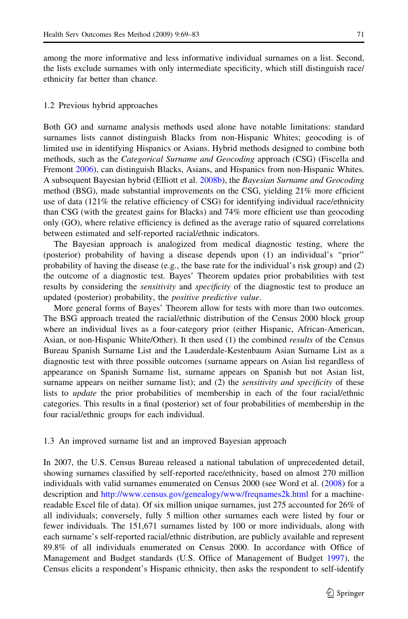among the more informative and less informative individual surnames on a list. Second, the lists exclude surnames with only intermediate specificity, which still distinguish race/ ethnicity far better than chance.

# 1.2 Previous hybrid approaches

Both GO and surname analysis methods used alone have notable limitations: standard surnames lists cannot distinguish Blacks from non-Hispanic Whites; geocoding is of limited use in identifying Hispanics or Asians. Hybrid methods designed to combine both methods, such as the *Categorical Surname and Geocoding* approach (CSG) (Fiscella and Fremont [2006\)](#page-13-0), can distinguish Blacks, Asians, and Hispanics from non-Hispanic Whites. A subsequent Bayesian hybrid (Elliott et al. [2008b](#page-13-0)), the Bayesian Surname and Geocoding method (BSG), made substantial improvements on the CSG, yielding 21% more efficient use of data (121% the relative efficiency of CSG) for identifying individual race/ethnicity than CSG (with the greatest gains for Blacks) and 74% more efficient use than geocoding only (GO), where relative efficiency is defined as the average ratio of squared correlations between estimated and self-reported racial/ethnic indicators.

The Bayesian approach is analogized from medical diagnostic testing, where the (posterior) probability of having a disease depends upon (1) an individual's ''prior'' probability of having the disease (e.g., the base rate for the individual's risk group) and (2) the outcome of a diagnostic test. Bayes' Theorem updates prior probabilities with test results by considering the *sensitivity* and *specificity* of the diagnostic test to produce an updated (posterior) probability, the positive predictive value.

More general forms of Bayes' Theorem allow for tests with more than two outcomes. The BSG approach treated the racial/ethnic distribution of the Census 2000 block group where an individual lives as a four-category prior (either Hispanic, African-American, Asian, or non-Hispanic White/Other). It then used (1) the combined results of the Census Bureau Spanish Surname List and the Lauderdale-Kestenbaum Asian Surname List as a diagnostic test with three possible outcomes (surname appears on Asian list regardless of appearance on Spanish Surname list, surname appears on Spanish but not Asian list, surname appears on neither surname list); and (2) the *sensitivity and specificity* of these lists to *update* the prior probabilities of membership in each of the four racial/ethnic categories. This results in a final (posterior) set of four probabilities of membership in the four racial/ethnic groups for each individual.

# 1.3 An improved surname list and an improved Bayesian approach

In 2007, the U.S. Census Bureau released a national tabulation of unprecedented detail, showing surnames classified by self-reported race/ethnicity, based on almost 270 million individuals with valid surnames enumerated on Census 2000 (see Word et al. ([2008\)](#page-14-0) for a description and [http://www.census.gov/genealogy/www/freqnames2k.html](https://www.census.gov/genealogy/www/freqnames2k.html) for a machinereadable Excel file of data). Of six million unique surnames, just 275 accounted for 26% of all individuals; conversely, fully 5 million other surnames each were listed by four or fewer individuals. The 151,671 surnames listed by 100 or more individuals, along with each surname's self-reported racial/ethnic distribution, are publicly available and represent 89.8% of all individuals enumerated on Census 2000. In accordance with Office of Management and Budget standards (U.S. Office of Management of Budget [1997](#page-14-0)), the Census elicits a respondent's Hispanic ethnicity, then asks the respondent to self-identify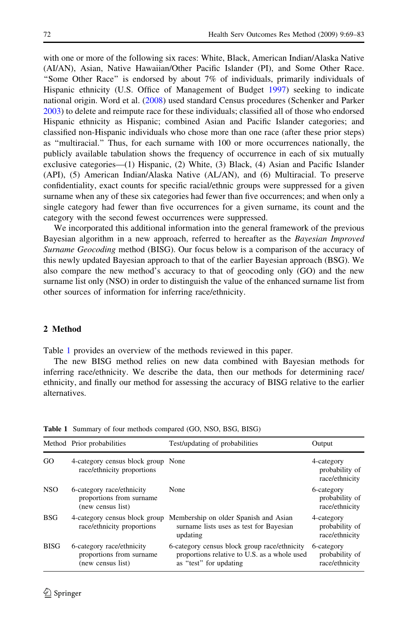<span id="page-3-0"></span>with one or more of the following six races: White, Black, American Indian/Alaska Native (AI/AN), Asian, Native Hawaiian/Other Pacific Islander (PI), and Some Other Race. "Some Other Race" is endorsed by about 7% of individuals, primarily individuals of Hispanic ethnicity (U.S. Office of Management of Budget [1997](#page-14-0)) seeking to indicate national origin. Word et al. ([2008\)](#page-14-0) used standard Census procedures (Schenker and Parker [2003\)](#page-14-0) to delete and reimpute race for these individuals; classified all of those who endorsed Hispanic ethnicity as Hispanic; combined Asian and Pacific Islander categories; and classified non-Hispanic individuals who chose more than one race (after these prior steps) as ''multiracial.'' Thus, for each surname with 100 or more occurrences nationally, the publicly available tabulation shows the frequency of occurrence in each of six mutually exclusive categories—(1) Hispanic, (2) White, (3) Black, (4) Asian and Pacific Islander (API), (5) American Indian/Alaska Native (AL/AN), and (6) Multiracial. To preserve confidentiality, exact counts for specific racial/ethnic groups were suppressed for a given surname when any of these six categories had fewer than five occurrences; and when only a single category had fewer than five occurrences for a given surname, its count and the category with the second fewest occurrences were suppressed.

We incorporated this additional information into the general framework of the previous Bayesian algorithm in a new approach, referred to hereafter as the Bayesian Improved Surname Geocoding method (BISG). Our focus below is a comparison of the accuracy of this newly updated Bayesian approach to that of the earlier Bayesian approach (BSG). We also compare the new method's accuracy to that of geocoding only (GO) and the new surname list only (NSO) in order to distinguish the value of the enhanced surname list from other sources of information for inferring race/ethnicity.

# 2 Method

Table 1 provides an overview of the methods reviewed in this paper.

The new BISG method relies on new data combined with Bayesian methods for inferring race/ethnicity. We describe the data, then our methods for determining race/ ethnicity, and finally our method for assessing the accuracy of BISG relative to the earlier alternatives.

|             | Method Prior probabilities                                                 | Test/updating of probabilities                                                                                         | Output                                         |
|-------------|----------------------------------------------------------------------------|------------------------------------------------------------------------------------------------------------------------|------------------------------------------------|
| GO          | 4-category census block group None<br>race/ethnicity proportions           |                                                                                                                        | 4-category<br>probability of<br>race/ethnicity |
| <b>NSO</b>  | 6-category race/ethnicity<br>proportions from surname<br>(new census list) | None                                                                                                                   | 6-category<br>probability of<br>race/ethnicity |
| <b>BSG</b>  | 4-category census block group<br>race/ethnicity proportions                | Membership on older Spanish and Asian<br>surname lists uses as test for Bayesian<br>updating                           | 4-category<br>probability of<br>race/ethnicity |
| <b>BISG</b> | 6-category race/ethnicity<br>proportions from surname<br>(new census list) | 6-category census block group race/ethnicity<br>proportions relative to U.S. as a whole used<br>as "test" for updating | 6-category<br>probability of<br>race/ethnicity |

Table 1 Summary of four methods compared (GO, NSO, BSG, BISG)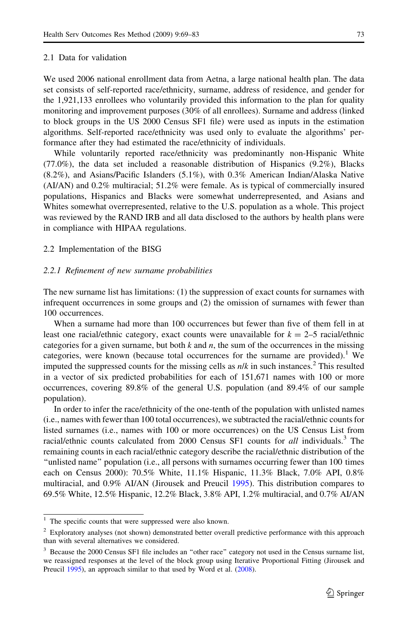#### 2.1 Data for validation

We used 2006 national enrollment data from Aetna, a large national health plan. The data set consists of self-reported race/ethnicity, surname, address of residence, and gender for the 1,921,133 enrollees who voluntarily provided this information to the plan for quality monitoring and improvement purposes (30% of all enrollees). Surname and address (linked to block groups in the US 2000 Census SF1 file) were used as inputs in the estimation algorithms. Self-reported race/ethnicity was used only to evaluate the algorithms' performance after they had estimated the race/ethnicity of individuals.

While voluntarily reported race/ethnicity was predominantly non-Hispanic White (77.0%), the data set included a reasonable distribution of Hispanics (9.2%), Blacks (8.2%), and Asians/Pacific Islanders (5.1%), with 0.3% American Indian/Alaska Native (AI/AN) and 0.2% multiracial; 51.2% were female. As is typical of commercially insured populations, Hispanics and Blacks were somewhat underrepresented, and Asians and Whites somewhat overrepresented, relative to the U.S. population as a whole. This project was reviewed by the RAND IRB and all data disclosed to the authors by health plans were in compliance with HIPAA regulations.

## 2.2 Implementation of the BISG

## 2.2.1 Refinement of new surname probabilities

The new surname list has limitations: (1) the suppression of exact counts for surnames with infrequent occurrences in some groups and (2) the omission of surnames with fewer than 100 occurrences.

When a surname had more than 100 occurrences but fewer than five of them fell in at least one racial/ethnic category, exact counts were unavailable for  $k = 2$ –5 racial/ethnic categories for a given surname, but both  $k$  and  $n$ , the sum of the occurrences in the missing categories, were known (because total occurrences for the surname are provided).<sup>1</sup> We imputed the suppressed counts for the missing cells as  $n/k$  in such instances.<sup>2</sup> This resulted in a vector of six predicted probabilities for each of 151,671 names with 100 or more occurrences, covering 89.8% of the general U.S. population (and 89.4% of our sample population).

In order to infer the race/ethnicity of the one-tenth of the population with unlisted names (i.e., names with fewer than 100 total occurrences), we subtracted the racial/ethnic counts for listed surnames (i.e., names with 100 or more occurrences) on the US Census List from racial/ethnic counts calculated from 2000 Census SF1 counts for *all* individuals.<sup>3</sup> The remaining counts in each racial/ethnic category describe the racial/ethnic distribution of the ''unlisted name'' population (i.e., all persons with surnames occurring fewer than 100 times each on Census 2000): 70.5% White, 11.1% Hispanic, 11.3% Black, 7.0% API, 0.8% multiracial, and 0.9% AI/AN (Jirousek and Preucil [1995\)](#page-14-0). This distribution compares to 69.5% White, 12.5% Hispanic, 12.2% Black, 3.8% API, 1.2% multiracial, and 0.7% AI/AN

<sup>&</sup>lt;sup>1</sup> The specific counts that were suppressed were also known.

 $2$  Exploratory analyses (not shown) demonstrated better overall predictive performance with this approach than with several alternatives we considered.

<sup>&</sup>lt;sup>3</sup> Because the 2000 Census SF1 file includes an "other race" category not used in the Census surname list, we reassigned responses at the level of the block group using Iterative Proportional Fitting (Jirousek and Preucil [1995\)](#page-14-0), an approach similar to that used by Word et al. ([2008\)](#page-14-0).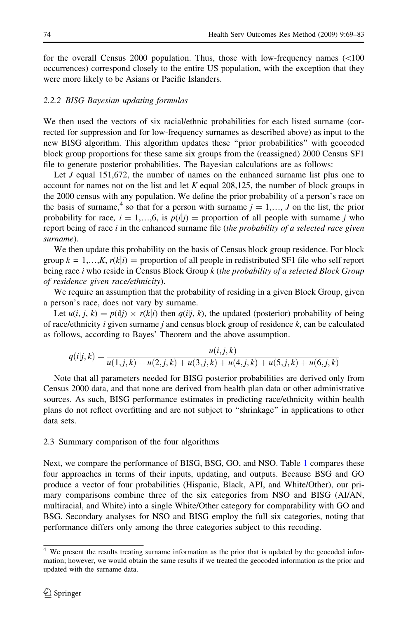for the overall Census 2000 population. Thus, those with low-frequency names  $(\leq 100$ occurrences) correspond closely to the entire US population, with the exception that they were more likely to be Asians or Pacific Islanders.

# 2.2.2 BISG Bayesian updating formulas

We then used the vectors of six racial/ethnic probabilities for each listed surname (corrected for suppression and for low-frequency surnames as described above) as input to the new BISG algorithm. This algorithm updates these ''prior probabilities'' with geocoded block group proportions for these same six groups from the (reassigned) 2000 Census SF1 file to generate posterior probabilities. The Bayesian calculations are as follows:

Let  $J$  equal 151,672, the number of names on the enhanced surname list plus one to account for names not on the list and let  $K$  equal 208,125, the number of block groups in the 2000 census with any population. We define the prior probability of a person's race on the basis of surname,<sup>4</sup> so that for a person with surname  $j = 1, ..., J$  on the list, the prior probability for race,  $i = 1,...,6$ , is  $p(i|j) =$  proportion of all people with surname j who report being of race  $i$  in the enhanced surname file (the probability of a selected race given surname).

We then update this probability on the basis of Census block group residence. For block group  $k = 1,...,K$ ,  $r(k|i)$  = proportion of all people in redistributed SF1 file who self report being race i who reside in Census Block Group k (the probability of a selected Block Group of residence given race/ethnicity).

We require an assumption that the probability of residing in a given Block Group, given a person's race, does not vary by surname.

Let  $u(i, j, k) = p(i|j) \times r(k|i)$  then  $q(i|j, k)$ , the updated (posterior) probability of being of race/ethnicity i given surname j and census block group of residence  $k$ , can be calculated as follows, according to Bayes' Theorem and the above assumption.

$$
q(i|j,k) = \frac{u(i,j,k)}{u(1,j,k) + u(2,j,k) + u(3,j,k) + u(4,j,k) + u(5,j,k) + u(6,j,k)}
$$

Note that all parameters needed for BISG posterior probabilities are derived only from Census 2000 data, and that none are derived from health plan data or other administrative sources. As such, BISG performance estimates in predicting race/ethnicity within health plans do not reflect overfitting and are not subject to ''shrinkage'' in applications to other data sets.

## 2.3 Summary comparison of the four algorithms

Next, we compare the performance of BISG, BSG, GO, and NSO. Table [1](#page-3-0) compares these four approaches in terms of their inputs, updating, and outputs. Because BSG and GO produce a vector of four probabilities (Hispanic, Black, API, and White/Other), our primary comparisons combine three of the six categories from NSO and BISG (AI/AN, multiracial, and White) into a single White/Other category for comparability with GO and BSG. Secondary analyses for NSO and BISG employ the full six categories, noting that performance differs only among the three categories subject to this recoding.

<sup>&</sup>lt;sup>4</sup> We present the results treating surname information as the prior that is updated by the geocoded information; however, we would obtain the same results if we treated the geocoded information as the prior and updated with the surname data.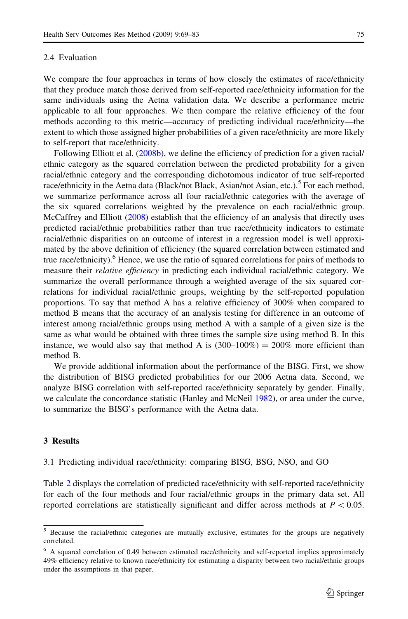#### 2.4 Evaluation

We compare the four approaches in terms of how closely the estimates of race/ethnicity that they produce match those derived from self-reported race/ethnicity information for the same individuals using the Aetna validation data. We describe a performance metric applicable to all four approaches. We then compare the relative efficiency of the four methods according to this metric—accuracy of predicting individual race/ethnicity—the extent to which those assigned higher probabilities of a given race/ethnicity are more likely to self-report that race/ethnicity.

Following Elliott et al. ([2008b](#page-13-0)), we define the efficiency of prediction for a given racial/ ethnic category as the squared correlation between the predicted probability for a given racial/ethnic category and the corresponding dichotomous indicator of true self-reported race/ethnicity in the Aetna data (Black/not Black, Asian/not Asian, etc.).<sup>5</sup> For each method, we summarize performance across all four racial/ethnic categories with the average of the six squared correlations weighted by the prevalence on each racial/ethnic group. McCaffrey and Elliott ([2008\)](#page-14-0) establish that the efficiency of an analysis that directly uses predicted racial/ethnic probabilities rather than true race/ethnicity indicators to estimate racial/ethnic disparities on an outcome of interest in a regression model is well approximated by the above definition of efficiency (the squared correlation between estimated and true race/ethnicity).<sup>6</sup> Hence, we use the ratio of squared correlations for pairs of methods to measure their *relative efficiency* in predicting each individual racial/ethnic category. We summarize the overall performance through a weighted average of the six squared correlations for individual racial/ethnic groups, weighting by the self-reported population proportions. To say that method A has a relative efficiency of 300% when compared to method B means that the accuracy of an analysis testing for difference in an outcome of interest among racial/ethnic groups using method A with a sample of a given size is the same as what would be obtained with three times the sample size using method B. In this instance, we would also say that method A is  $(300-100\%) = 200\%$  more efficient than method B.

We provide additional information about the performance of the BISG. First, we show the distribution of BISG predicted probabilities for our 2006 Aetna data. Second, we analyze BISG correlation with self-reported race/ethnicity separately by gender. Finally, we calculate the concordance statistic (Hanley and McNeil [1982\)](#page-13-0), or area under the curve, to summarize the BISG's performance with the Aetna data.

# 3 Results

3.1 Predicting individual race/ethnicity: comparing BISG, BSG, NSO, and GO

Table [2](#page-7-0) displays the correlation of predicted race/ethnicity with self-reported race/ethnicity for each of the four methods and four racial/ethnic groups in the primary data set. All reported correlations are statistically significant and differ across methods at  $P < 0.05$ .

<sup>5</sup> Because the racial/ethnic categories are mutually exclusive, estimates for the groups are negatively correlated.

 $6$  A squared correlation of 0.49 between estimated race/ethnicity and self-reported implies approximately 49% efficiency relative to known race/ethnicity for estimating a disparity between two racial/ethnic groups under the assumptions in that paper.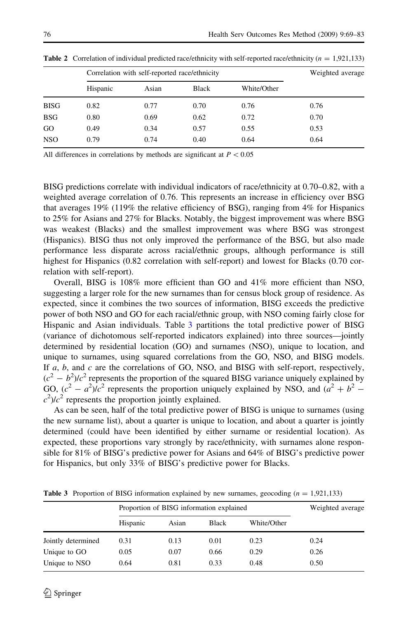|             |          | Correlation with self-reported race/ethnicity |       |             | Weighted average |
|-------------|----------|-----------------------------------------------|-------|-------------|------------------|
|             | Hispanic | Asian                                         | Black | White/Other |                  |
| <b>BISG</b> | 0.82     | 0.77                                          | 0.70  | 0.76        | 0.76             |
| BSG         | 0.80     | 0.69                                          | 0.62  | 0.72        | 0.70             |
| GO          | 0.49     | 0.34                                          | 0.57  | 0.55        | 0.53             |
| <b>NSO</b>  | 0.79     | 0.74                                          | 0.40  | 0.64        | 0.64             |

<span id="page-7-0"></span>**Table 2** Correlation of individual predicted race/ethnicity with self-reported race/ethnicity ( $n = 1,921,133$ )

All differences in correlations by methods are significant at  $P \leq 0.05$ 

BISG predictions correlate with individual indicators of race/ethnicity at 0.70–0.82, with a weighted average correlation of 0.76. This represents an increase in efficiency over BSG that averages 19% (119% the relative efficiency of BSG), ranging from 4% for Hispanics to 25% for Asians and 27% for Blacks. Notably, the biggest improvement was where BSG was weakest (Blacks) and the smallest improvement was where BSG was strongest (Hispanics). BISG thus not only improved the performance of the BSG, but also made performance less disparate across racial/ethnic groups, although performance is still highest for Hispanics (0.82 correlation with self-report) and lowest for Blacks (0.70 correlation with self-report).

Overall, BISG is 108% more efficient than GO and 41% more efficient than NSO, suggesting a larger role for the new surnames than for census block group of residence. As expected, since it combines the two sources of information, BISG exceeds the predictive power of both NSO and GO for each racial/ethnic group, with NSO coming fairly close for Hispanic and Asian individuals. Table 3 partitions the total predictive power of BISG (variance of dichotomous self-reported indicators explained) into three sources—jointly determined by residential location (GO) and surnames (NSO), unique to location, and unique to surnames, using squared correlations from the GO, NSO, and BISG models. If  $a$ ,  $b$ , and  $c$  are the correlations of GO, NSO, and BISG with self-report, respectively,  $(c^2 - b^2)/c^2$  represents the proportion of the squared BISG variance uniquely explained by GO,  $(c^2 - a^2)/c^2$  represents the proportion uniquely explained by NSO, and  $(a^2 + b^2 - a^2)/c^2$  $c^2$ / $c^2$  represents the proportion jointly explained.

As can be seen, half of the total predictive power of BISG is unique to surnames (using the new surname list), about a quarter is unique to location, and about a quarter is jointly determined (could have been identified by either surname or residential location). As expected, these proportions vary strongly by race/ethnicity, with surnames alone responsible for 81% of BISG's predictive power for Asians and 64% of BISG's predictive power for Hispanics, but only 33% of BISG's predictive power for Blacks.

|                    |          |       | Proportion of BISG information explained |             | Weighted average |
|--------------------|----------|-------|------------------------------------------|-------------|------------------|
|                    | Hispanic | Asian | Black                                    | White/Other |                  |
| Jointly determined | 0.31     | 0.13  | 0.01                                     | 0.23        | 0.24             |
| Unique to GO       | 0.05     | 0.07  | 0.66                                     | 0.29        | 0.26             |
| Unique to NSO      | 0.64     | 0.81  | 0.33                                     | 0.48        | 0.50             |

**Table 3** Proportion of BISG information explained by new surnames, geocoding  $(n = 1.921, 133)$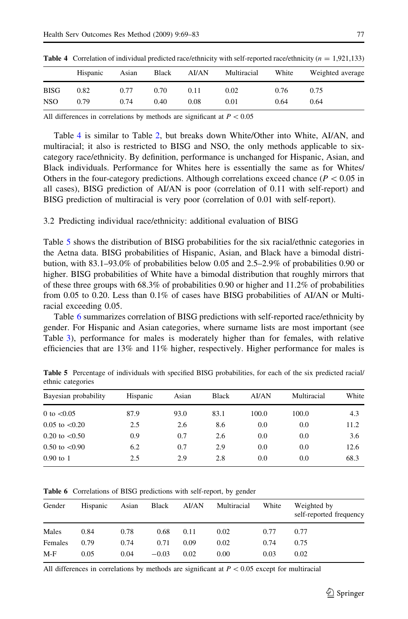|             | Hispanic | Asian | Black | AI/AN    | Multiracial | White | Weighted average |
|-------------|----------|-------|-------|----------|-------------|-------|------------------|
| <b>BISG</b> | 0.82     | 0.77  | 0.70  | 0.11     | 0.02        | 0.76  | 0.75             |
| <b>NSO</b>  | 0.79     | 0.74  | 0.40  | $0.08\,$ | 0.01        | 0.64  | 0.64             |

<span id="page-8-0"></span>**Table 4** Correlation of individual predicted race/ethnicity with self-reported race/ethnicity ( $n = 1,921,133$ )

All differences in correlations by methods are significant at  $P \leq 0.05$ 

Table 4 is similar to Table [2](#page-7-0), but breaks down White/Other into White, AI/AN, and multiracial; it also is restricted to BISG and NSO, the only methods applicable to sixcategory race/ethnicity. By definition, performance is unchanged for Hispanic, Asian, and Black individuals. Performance for Whites here is essentially the same as for Whites/ Others in the four-category predictions. Although correlations exceed chance ( $P \lt 0.05$  in all cases), BISG prediction of AI/AN is poor (correlation of 0.11 with self-report) and BISG prediction of multiracial is very poor (correlation of 0.01 with self-report).

#### 3.2 Predicting individual race/ethnicity: additional evaluation of BISG

Table 5 shows the distribution of BISG probabilities for the six racial/ethnic categories in the Aetna data. BISG probabilities of Hispanic, Asian, and Black have a bimodal distribution, with 83.1–93.0% of probabilities below 0.05 and 2.5–2.9% of probabilities 0.90 or higher. BISG probabilities of White have a bimodal distribution that roughly mirrors that of these three groups with 68.3% of probabilities 0.90 or higher and 11.2% of probabilities from 0.05 to 0.20. Less than 0.1% of cases have BISG probabilities of AI/AN or Multiracial exceeding 0.05.

Table 6 summarizes correlation of BISG predictions with self-reported race/ethnicity by gender. For Hispanic and Asian categories, where surname lists are most important (see Table [3](#page-7-0)), performance for males is moderately higher than for females, with relative efficiencies that are 13% and 11% higher, respectively. Higher performance for males is

| Bayesian probability      | Hispanic | Asian | <b>Black</b> | AI/AN | Multiracial | White |
|---------------------------|----------|-------|--------------|-------|-------------|-------|
| 0 to $< 0.05$             | 87.9     | 93.0  | 83.1         | 100.0 | 100.0       | 4.3   |
| $0.05$ to $< 0.20$        | 2.5      | 2.6   | 8.6          | 0.0   | 0.0         | 11.2  |
| 0.20 to $< 0.50$          | 0.9      | 0.7   | 2.6          | 0.0   | 0.0         | 3.6   |
| $0.50 \text{ to } < 0.90$ | 6.2      | 0.7   | 2.9          | 0.0   | 0.0         | 12.6  |
| $0.90$ to 1               | 2.5      | 2.9   | 2.8          | 0.0   | 0.0         | 68.3  |

Table 5 Percentage of individuals with specified BISG probabilities, for each of the six predicted racial/ ethnic categories

Table 6 Correlations of BISG predictions with self-report, by gender

| Gender  | Hispanic | Asian | Black   | AI/AN | Multiracial | White | Weighted by<br>self-reported frequency |
|---------|----------|-------|---------|-------|-------------|-------|----------------------------------------|
| Males   | 0.84     | 0.78  | 0.68    | 0.11  | 0.02        | 0.77  | 0.77                                   |
| Females | 0.79     | 0.74  | 0.71    | 0.09  | 0.02        | 0.74  | 0.75                                   |
| $M-F$   | 0.05     | 0.04  | $-0.03$ | 0.02  | 0.00        | 0.03  | 0.02                                   |
|         |          |       |         |       |             |       |                                        |

All differences in correlations by methods are significant at  $P \leq 0.05$  except for multiracial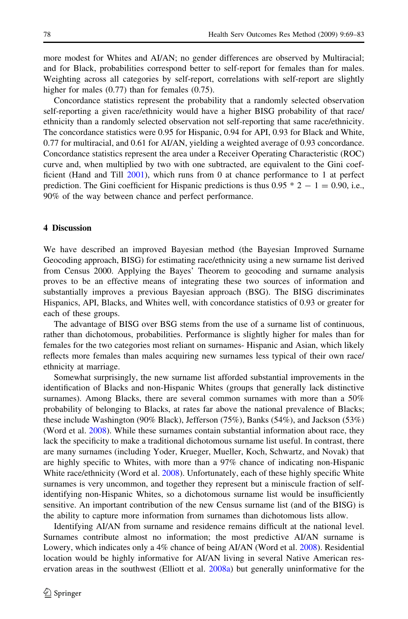more modest for Whites and AI/AN; no gender differences are observed by Multiracial; and for Black, probabilities correspond better to self-report for females than for males. Weighting across all categories by self-report, correlations with self-report are slightly higher for males (0.77) than for females (0.75).

Concordance statistics represent the probability that a randomly selected observation self-reporting a given race/ethnicity would have a higher BISG probability of that race/ ethnicity than a randomly selected observation not self-reporting that same race/ethnicity. The concordance statistics were 0.95 for Hispanic, 0.94 for API, 0.93 for Black and White, 0.77 for multiracial, and 0.61 for AI/AN, yielding a weighted average of 0.93 concordance. Concordance statistics represent the area under a Receiver Operating Characteristic (ROC) curve and, when multiplied by two with one subtracted, are equivalent to the Gini coefficient (Hand and Till [2001\)](#page-13-0), which runs from 0 at chance performance to 1 at perfect prediction. The Gini coefficient for Hispanic predictions is thus  $0.95 * 2 - 1 = 0.90$ , i.e., 90% of the way between chance and perfect performance.

### 4 Discussion

We have described an improved Bayesian method (the Bayesian Improved Surname Geocoding approach, BISG) for estimating race/ethnicity using a new surname list derived from Census 2000. Applying the Bayes' Theorem to geocoding and surname analysis proves to be an effective means of integrating these two sources of information and substantially improves a previous Bayesian approach (BSG). The BISG discriminates Hispanics, API, Blacks, and Whites well, with concordance statistics of 0.93 or greater for each of these groups.

The advantage of BISG over BSG stems from the use of a surname list of continuous, rather than dichotomous, probabilities. Performance is slightly higher for males than for females for the two categories most reliant on surnames- Hispanic and Asian, which likely reflects more females than males acquiring new surnames less typical of their own race/ ethnicity at marriage.

Somewhat surprisingly, the new surname list afforded substantial improvements in the identification of Blacks and non-Hispanic Whites (groups that generally lack distinctive surnames). Among Blacks, there are several common surnames with more than a 50% probability of belonging to Blacks, at rates far above the national prevalence of Blacks; these include Washington (90% Black), Jefferson (75%), Banks (54%), and Jackson (53%) (Word et al. [2008\)](#page-14-0). While these surnames contain substantial information about race, they lack the specificity to make a traditional dichotomous surname list useful. In contrast, there are many surnames (including Yoder, Krueger, Mueller, Koch, Schwartz, and Novak) that are highly specific to Whites, with more than a 97% chance of indicating non-Hispanic White race/ethnicity (Word et al. [2008\)](#page-14-0). Unfortunately, each of these highly specific White surnames is very uncommon, and together they represent but a miniscule fraction of selfidentifying non-Hispanic Whites, so a dichotomous surname list would be insufficiently sensitive. An important contribution of the new Census surname list (and of the BISG) is the ability to capture more information from surnames than dichotomous lists allow.

Identifying AI/AN from surname and residence remains difficult at the national level. Surnames contribute almost no information; the most predictive AI/AN surname is Lowery, which indicates only a 4% chance of being AI/AN (Word et al. [2008\)](#page-14-0). Residential location would be highly informative for AI/AN living in several Native American reservation areas in the southwest (Elliott et al. [2008a](#page-13-0)) but generally uninformative for the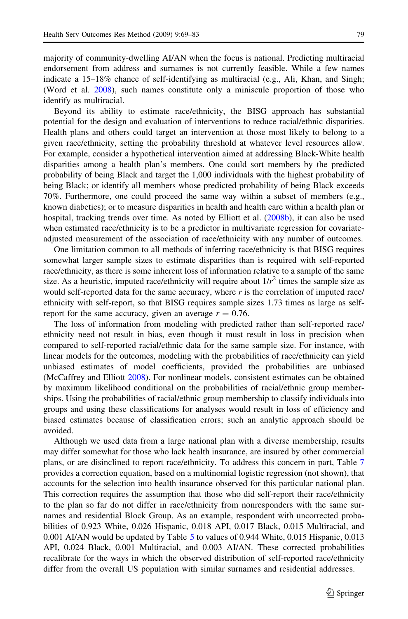majority of community-dwelling AI/AN when the focus is national. Predicting multiracial endorsement from address and surnames is not currently feasible. While a few names indicate a 15–18% chance of self-identifying as multiracial (e.g., Ali, Khan, and Singh; (Word et al. [2008](#page-14-0)), such names constitute only a miniscule proportion of those who identify as multiracial.

Beyond its ability to estimate race/ethnicity, the BISG approach has substantial potential for the design and evaluation of interventions to reduce racial/ethnic disparities. Health plans and others could target an intervention at those most likely to belong to a given race/ethnicity, setting the probability threshold at whatever level resources allow. For example, consider a hypothetical intervention aimed at addressing Black-White health disparities among a health plan's members. One could sort members by the predicted probability of being Black and target the 1,000 individuals with the highest probability of being Black; or identify all members whose predicted probability of being Black exceeds 70%. Furthermore, one could proceed the same way within a subset of members (e.g., known diabetics); or to measure disparities in health and health care within a health plan or hospital, tracking trends over time. As noted by Elliott et al. ([2008b\)](#page-13-0), it can also be used when estimated race/ethnicity is to be a predictor in multivariate regression for covariateadjusted measurement of the association of race/ethnicity with any number of outcomes.

One limitation common to all methods of inferring race/ethnicity is that BISG requires somewhat larger sample sizes to estimate disparities than is required with self-reported race/ethnicity, as there is some inherent loss of information relative to a sample of the same size. As a heuristic, imputed race/ethnicity will require about  $1/r^2$  times the sample size as would self-reported data for the same accuracy, where  $r$  is the correlation of imputed race/ ethnicity with self-report, so that BISG requires sample sizes 1.73 times as large as selfreport for the same accuracy, given an average  $r = 0.76$ .

The loss of information from modeling with predicted rather than self-reported race/ ethnicity need not result in bias, even though it must result in loss in precision when compared to self-reported racial/ethnic data for the same sample size. For instance, with linear models for the outcomes, modeling with the probabilities of race/ethnicity can yield unbiased estimates of model coefficients, provided the probabilities are unbiased (McCaffrey and Elliott [2008\)](#page-14-0). For nonlinear models, consistent estimates can be obtained by maximum likelihood conditional on the probabilities of racial/ethnic group memberships. Using the probabilities of racial/ethnic group membership to classify individuals into groups and using these classifications for analyses would result in loss of efficiency and biased estimates because of classification errors; such an analytic approach should be avoided.

Although we used data from a large national plan with a diverse membership, results may differ somewhat for those who lack health insurance, are insured by other commercial plans, or are disinclined to report race/ethnicity. To address this concern in part, Table [7](#page-11-0) provides a correction equation, based on a multinomial logistic regression (not shown), that accounts for the selection into health insurance observed for this particular national plan. This correction requires the assumption that those who did self-report their race/ethnicity to the plan so far do not differ in race/ethnicity from nonresponders with the same surnames and residential Block Group. As an example, respondent with uncorrected probabilities of 0.923 White, 0.026 Hispanic, 0.018 API, 0.017 Black, 0.015 Multiracial, and 0.001 AI/AN would be updated by Table [5](#page-8-0) to values of 0.944 White, 0.015 Hispanic, 0.013 API, 0.024 Black, 0.001 Multiracial, and 0.003 AI/AN. These corrected probabilities recalibrate for the ways in which the observed distribution of self-reported race/ethnicity differ from the overall US population with similar surnames and residential addresses.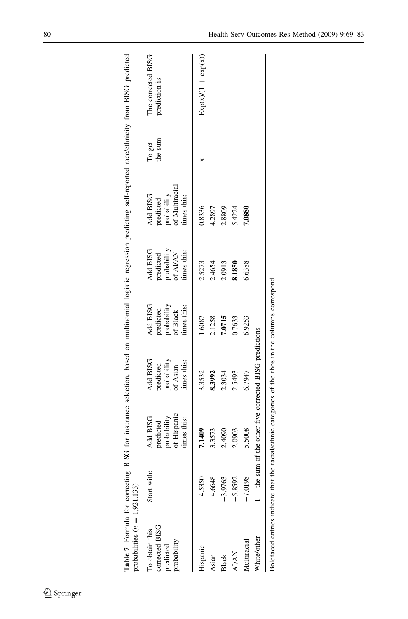| probabilities $(n = 1,921,133)$                              |                        |                                                                    |                                                               |                                                               |                                                                |                                                                      |                   |                                     |
|--------------------------------------------------------------|------------------------|--------------------------------------------------------------------|---------------------------------------------------------------|---------------------------------------------------------------|----------------------------------------------------------------|----------------------------------------------------------------------|-------------------|-------------------------------------|
| corrected BISG<br>To obtain this<br>probability<br>predicted | Start with:            | of Hispanic<br>Add BISG<br>yilityoro<br>imes this:<br>predicted    | Add BISG<br>yilidoxord<br>imes this:<br>predicted<br>of Asian | Add BISG<br>yilidedoxc<br>imes this:<br>predicted<br>of Black | Add BISG<br>probability<br>of AI/AN<br>imes this:<br>predicted | probability<br>of Multiracial<br>Add BISG<br>imes this:<br>predicted | the sum<br>To get | The corrected BISG<br>prediction is |
| Hispanic<br>Asian                                            | $-4.6648$<br>$-4.5350$ | 7.1409<br>3.3573                                                   | 3.3532<br>8.3992                                              | 1.6087<br>2.1258                                              | 2.5273<br>2.4654                                               | 0.8336<br>4.2897                                                     |                   | $Exp(x)/(1 + exp(x))$               |
| <b>AI/AN</b><br>Black                                        | $-3.9763$<br>$-5.8592$ | 2.4090<br>2.0903                                                   | 2.3034<br>2.5493                                              | 7.0715<br>0.7633                                              | 2.0913<br>8.1850                                               | 2.8809<br>5.4224                                                     |                   |                                     |
| <b>Nhite/other</b><br><b>Aultiracial</b>                     | $-7.0198$              | 1 – the sum of the other five corrected BISG predictions<br>5.5008 | 6.7947                                                        | 6.9253                                                        | 6.6388                                                         | 7.0880                                                               |                   |                                     |
| Boldfaced entries indicate that the                          |                        | racial/ethnic categories of the rhos in the columns correspond     |                                                               |                                                               |                                                                |                                                                      |                   |                                     |

<span id="page-11-0"></span>Table 7 Formula for correcting BISG for insurance selection, based on multinomial logistic regression predicting self-reported race/ethnicity from BISG predicted Table 7 Formula for correcting BISG for insurance selection, based on multinomial logistic regression predicting self-reported race/ethnicity from BISG predicted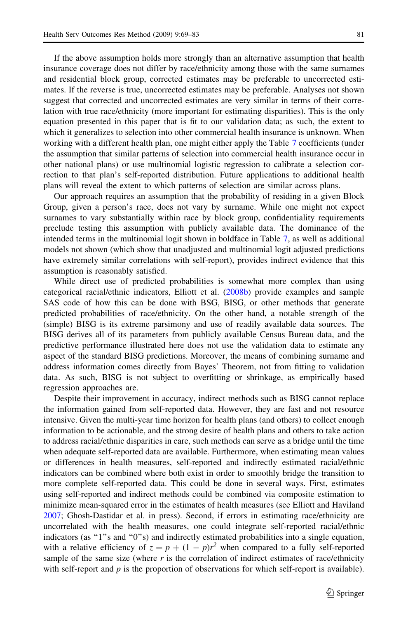If the above assumption holds more strongly than an alternative assumption that health insurance coverage does not differ by race/ethnicity among those with the same surnames and residential block group, corrected estimates may be preferable to uncorrected estimates. If the reverse is true, uncorrected estimates may be preferable. Analyses not shown suggest that corrected and uncorrected estimates are very similar in terms of their correlation with true race/ethnicity (more important for estimating disparities). This is the only equation presented in this paper that is fit to our validation data; as such, the extent to which it generalizes to selection into other commercial health insurance is unknown. When working with a different health plan, one might either apply the Table [7](#page-11-0) coefficients (under the assumption that similar patterns of selection into commercial health insurance occur in other national plans) or use multinomial logistic regression to calibrate a selection correction to that plan's self-reported distribution. Future applications to additional health plans will reveal the extent to which patterns of selection are similar across plans.

Our approach requires an assumption that the probability of residing in a given Block Group, given a person's race, does not vary by surname. While one might not expect surnames to vary substantially within race by block group, confidentiality requirements preclude testing this assumption with publicly available data. The dominance of the intended terms in the multinomial logit shown in boldface in Table [7](#page-11-0), as well as additional models not shown (which show that unadjusted and multinomial logit adjusted predictions have extremely similar correlations with self-report), provides indirect evidence that this assumption is reasonably satisfied.

While direct use of predicted probabilities is somewhat more complex than using categorical racial/ethnic indicators, Elliott et al. ([2008b](#page-13-0)) provide examples and sample SAS code of how this can be done with BSG, BISG, or other methods that generate predicted probabilities of race/ethnicity. On the other hand, a notable strength of the (simple) BISG is its extreme parsimony and use of readily available data sources. The BISG derives all of its parameters from publicly available Census Bureau data, and the predictive performance illustrated here does not use the validation data to estimate any aspect of the standard BISG predictions. Moreover, the means of combining surname and address information comes directly from Bayes' Theorem, not from fitting to validation data. As such, BISG is not subject to overfitting or shrinkage, as empirically based regression approaches are.

Despite their improvement in accuracy, indirect methods such as BISG cannot replace the information gained from self-reported data. However, they are fast and not resource intensive. Given the multi-year time horizon for health plans (and others) to collect enough information to be actionable, and the strong desire of health plans and others to take action to address racial/ethnic disparities in care, such methods can serve as a bridge until the time when adequate self-reported data are available. Furthermore, when estimating mean values or differences in health measures, self-reported and indirectly estimated racial/ethnic indicators can be combined where both exist in order to smoothly bridge the transition to more complete self-reported data. This could be done in several ways. First, estimates using self-reported and indirect methods could be combined via composite estimation to minimize mean-squared error in the estimates of health measures (see Elliott and Haviland [2007;](#page-13-0) Ghosh-Dastidar et al. in press). Second, if errors in estimating race/ethnicity are uncorrelated with the health measures, one could integrate self-reported racial/ethnic indicators (as "1"s and "0"s) and indirectly estimated probabilities into a single equation, with a relative efficiency of  $z = p + (1 - p)r^2$  when compared to a fully self-reported sample of the same size (where  $r$  is the correlation of indirect estimates of race/ethnicity with self-report and p is the proportion of observations for which self-report is available).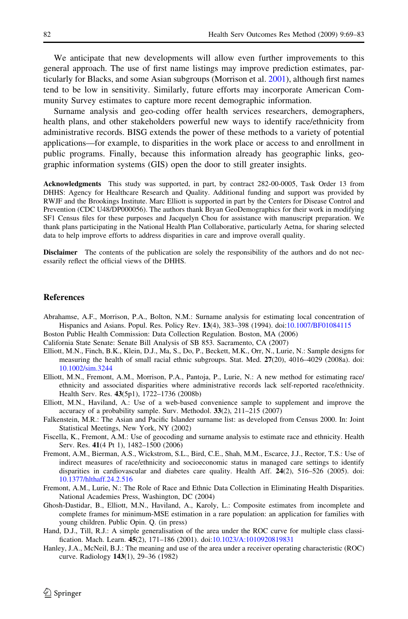<span id="page-13-0"></span>We anticipate that new developments will allow even further improvements to this general approach. The use of first name listings may improve prediction estimates, particularly for Blacks, and some Asian subgroups (Morrison et al. [2001](#page-14-0)), although first names tend to be low in sensitivity. Similarly, future efforts may incorporate American Community Survey estimates to capture more recent demographic information.

Surname analysis and geo-coding offer health services researchers, demographers, health plans, and other stakeholders powerful new ways to identify race/ethnicity from administrative records. BISG extends the power of these methods to a variety of potential applications—for example, to disparities in the work place or access to and enrollment in public programs. Finally, because this information already has geographic links, geographic information systems (GIS) open the door to still greater insights.

Acknowledgments This study was supported, in part, by contract 282-00-0005, Task Order 13 from DHHS: Agency for Healthcare Research and Quality. Additional funding and support was provided by RWJF and the Brookings Institute. Marc Elliott is supported in part by the Centers for Disease Control and Prevention (CDC U48/DP000056). The authors thank Bryan GeoDemographics for their work in modifying SF1 Census files for these purposes and Jacquelyn Chou for assistance with manuscript preparation. We thank plans participating in the National Health Plan Collaborative, particularly Aetna, for sharing selected data to help improve efforts to address disparities in care and improve overall quality.

Disclaimer The contents of the publication are solely the responsibility of the authors and do not necessarily reflect the official views of the DHHS.

#### **References**

Abrahamse, A.F., Morrison, P.A., Bolton, N.M.: Surname analysis for estimating local concentration of Hispanics and Asians. Popul. Res. Policy Rev. 13(4), 383–398 (1994). doi[:10.1007/BF01084115](https://dx.doi.org/10.1007/BF01084115)

Boston Public Health Commission: Data Collection Regulation. Boston, MA (2006)

California State Senate: Senate Bill Analysis of SB 853. Sacramento, CA (2007)

- Elliott, M.N., Finch, B.K., Klein, D.J., Ma, S., Do, P., Beckett, M.K., Orr, N., Lurie, N.: Sample designs for measuring the health of small racial ethnic subgroups. Stat. Med. 27(20), 4016–4029 (2008a). doi: [10.1002/sim.3244](https://dx.doi.org/10.1002/sim.3244)
- Elliott, M.N., Fremont, A.M., Morrison, P.A., Pantoja, P., Lurie, N.: A new method for estimating race/ ethnicity and associated disparities where administrative records lack self-reported race/ethnicity. Health Serv. Res. 43(5p1), 1722–1736 (2008b)
- Elliott, M.N., Haviland, A.: Use of a web-based convenience sample to supplement and improve the accuracy of a probability sample. Surv. Methodol. 33(2), 211–215 (2007)
- Falkenstein, M.R.: The Asian and Pacific Islander surname list: as developed from Census 2000. In: Joint Statistical Meetings, New York, NY (2002)
- Fiscella, K., Fremont, A.M.: Use of geocoding and surname analysis to estimate race and ethnicity. Health Serv. Res. 41(4 Pt 1), 1482–1500 (2006)
- Fremont, A.M., Bierman, A.S., Wickstrom, S.L., Bird, C.E., Shah, M.M., Escarce, J.J., Rector, T.S.: Use of indirect measures of race/ethnicity and socioeconomic status in managed care settings to identify disparities in cardiovascular and diabetes care quality. Health Aff. 24(2), 516–526 (2005). doi: [10.1377/hlthaff.24.2.516](https://dx.doi.org/10.1377/hlthaff.24.2.516)
- Fremont, A.M., Lurie, N.: The Role of Race and Ethnic Data Collection in Eliminating Health Disparities. National Academies Press, Washington, DC (2004)
- Ghosh-Dastidar, B., Elliott, M.N., Haviland, A., Karoly, L.: Composite estimates from incomplete and complete frames for minimum-MSE estimation in a rare population: an application for families with young children. Public Opin. Q. (in press)
- Hand, D.J., Till, R.J.: A simple generalisation of the area under the ROC curve for multiple class classification. Mach. Learn. 45(2), 171–186 (2001). doi[:10.1023/A:1010920819831](https://dx.doi.org/10.1023/A:1010920819831)
- Hanley, J.A., McNeil, B.J.: The meaning and use of the area under a receiver operating characteristic (ROC) curve. Radiology 143(1), 29–36 (1982)